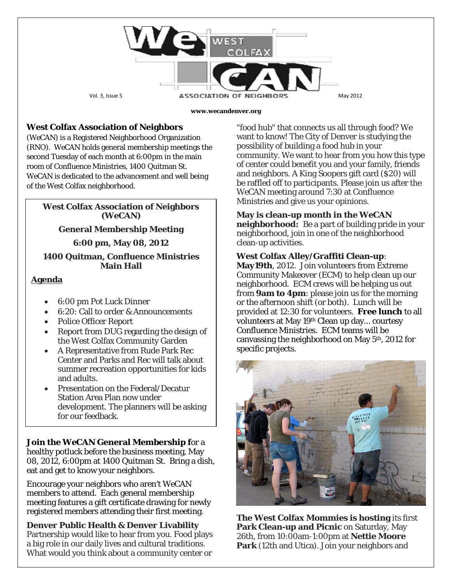

#### **www.wecandenver.org**

## **West Colfax Association of Neighbors**

(*WeCAN*) is a Registered Neighborhood Organization (RNO). *WeCAN* holds general membership meetings the second Tuesday of each month at 6:00pm in the main room of Confluence Ministries, 1400 Quitman St. WeCAN is dedicated to the advancement and well being of the West Colfax neighborhood.

### **West Colfax Association of Neighbors (***WeCAN***)**

**General Membership Meeting**

#### **6:00 pm, May 08, 2012**

### **1400 Quitman, Confluence Ministries Main Hall**

### **Agenda**

- 6:00 pm Pot Luck Dinner
- 6:20: Call to order & Announcements
- Police Officer Report
- Report from DUG regarding the design of the West Colfax Community Garden
- A Representative from Rude Park Rec Center and Parks and Rec will talk about summer recreation opportunities for kids and adults.
- Presentation on the Federal/Decatur Station Area Plan now under development. The planners will be asking for our feedback.

**Join the** *WeCAN* **General Membership f**or a healthy potluck before the business meeting, May 08, 2012, 6:00pm at 1400 Quitman St. Bring a dish, eat and get to know your neighbors.

Encourage your neighbors who aren't *WeCAN*  members to attend. Each general membership meeting features a gift certificate drawing for newly registered members attending their first meeting.

**Denver Public Health & Denver Livability** Partnership would like to hear from you. Food plays a big role in our daily lives and cultural traditions. What would you think about a community center or

"food hub" that connects us all through food? We want to know! The City of Denver is studying the possibility of building a food hub in your community. We want to hear from you how this type of center could benefit you and your family, friends and neighbors. A King Soopers gift card (\$20) will be raffled off to participants. Please join us after the *WeCAN* meeting around 7:30 at Confluence Ministries and give us your opinions.

### **May is clean-up month in the** *WeCAN*

**neighborhood:** Be a part of building pride in your neighborhood, join in one of the neighborhood clean-up activities.

### **West Colfax Alley/Graffiti Clean-up**:

**May19th**, 2012. Join volunteers from Extreme Community Makeover (ECM) to help clean up our neighborhood. ECM crews will be helping us out from **9am to 4pm**: please join us for the morning or the afternoon shift (or both). Lunch will be provided at 12:30 for volunteers. **Free lunch** to all volunteers at May 19th Clean up day... courtesy Confluence Ministries. ECM teams will be canvassing the neighborhood on May 5th, 2012 for specific projects.



**The West Colfax Mommies is hosting** its first **Park Clean-up and Picnic** on Saturday, May 26th, from 10:00am-1:00pm at **Nettie Moore Park** (12th and Utica). Join your neighbors and